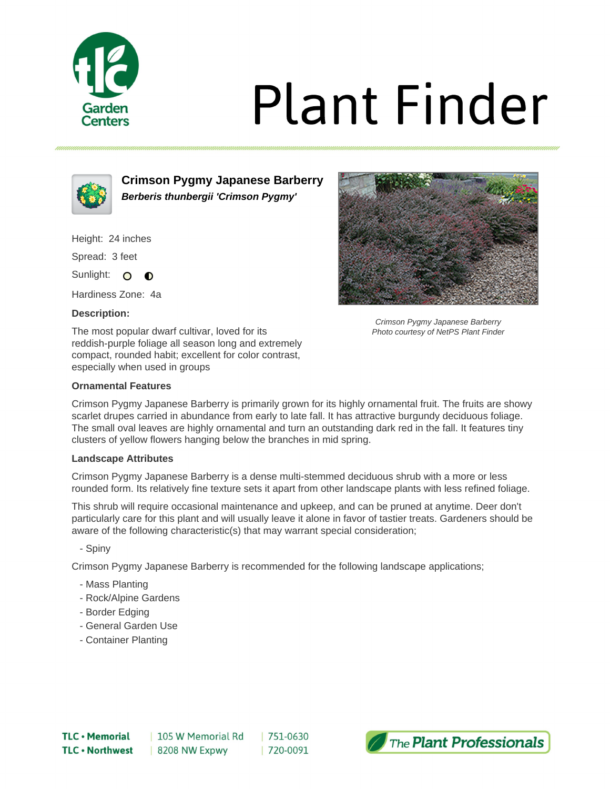

# **Plant Finder**



**Crimson Pygmy Japanese Barberry Berberis thunbergii 'Crimson Pygmy'**

Height: 24 inches

Spread: 3 feet

Sunlight: O  $\bullet$ 

Hardiness Zone: 4a

# **Description:**

The most popular dwarf cultivar, loved for its reddish-purple foliage all season long and extremely compact, rounded habit; excellent for color contrast, especially when used in groups



Crimson Pygmy Japanese Barberry Photo courtesy of NetPS Plant Finder

# **Ornamental Features**

Crimson Pygmy Japanese Barberry is primarily grown for its highly ornamental fruit. The fruits are showy scarlet drupes carried in abundance from early to late fall. It has attractive burgundy deciduous foliage. The small oval leaves are highly ornamental and turn an outstanding dark red in the fall. It features tiny clusters of yellow flowers hanging below the branches in mid spring.

# **Landscape Attributes**

Crimson Pygmy Japanese Barberry is a dense multi-stemmed deciduous shrub with a more or less rounded form. Its relatively fine texture sets it apart from other landscape plants with less refined foliage.

This shrub will require occasional maintenance and upkeep, and can be pruned at anytime. Deer don't particularly care for this plant and will usually leave it alone in favor of tastier treats. Gardeners should be aware of the following characteristic(s) that may warrant special consideration;

- Spiny

Crimson Pygmy Japanese Barberry is recommended for the following landscape applications;

- Mass Planting
- Rock/Alpine Gardens
- Border Edging
- General Garden Use
- Container Planting